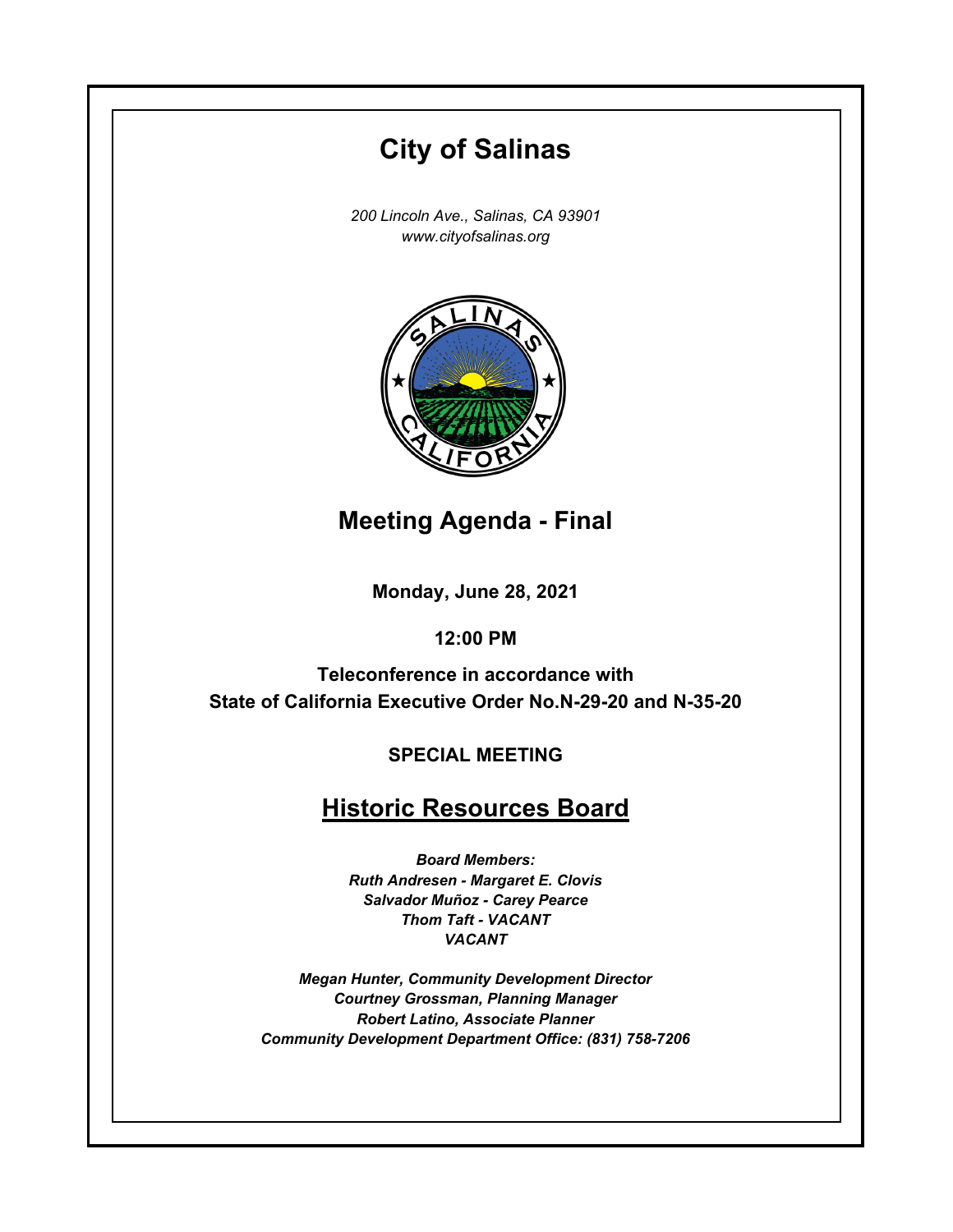# **City of Salinas**

*200 Lincoln Ave., Salinas, CA 93901 www.cityofsalinas.org*



**Meeting Agenda - Final**

**Monday, June 28, 2021**

**12:00 PM**

**Teleconference in accordance with State of California Executive Order No.N-29-20 and N-35-20**

**SPECIAL MEETING**

# **Historic Resources Board**

*Board Members: Ruth Andresen - Margaret E. Clovis Salvador Muñoz - Carey Pearce Thom Taft - VACANT VACANT*

*Megan Hunter, Community Development Director Courtney Grossman, Planning Manager Robert Latino, Associate Planner Community Development Department Office: (831) 758-7206*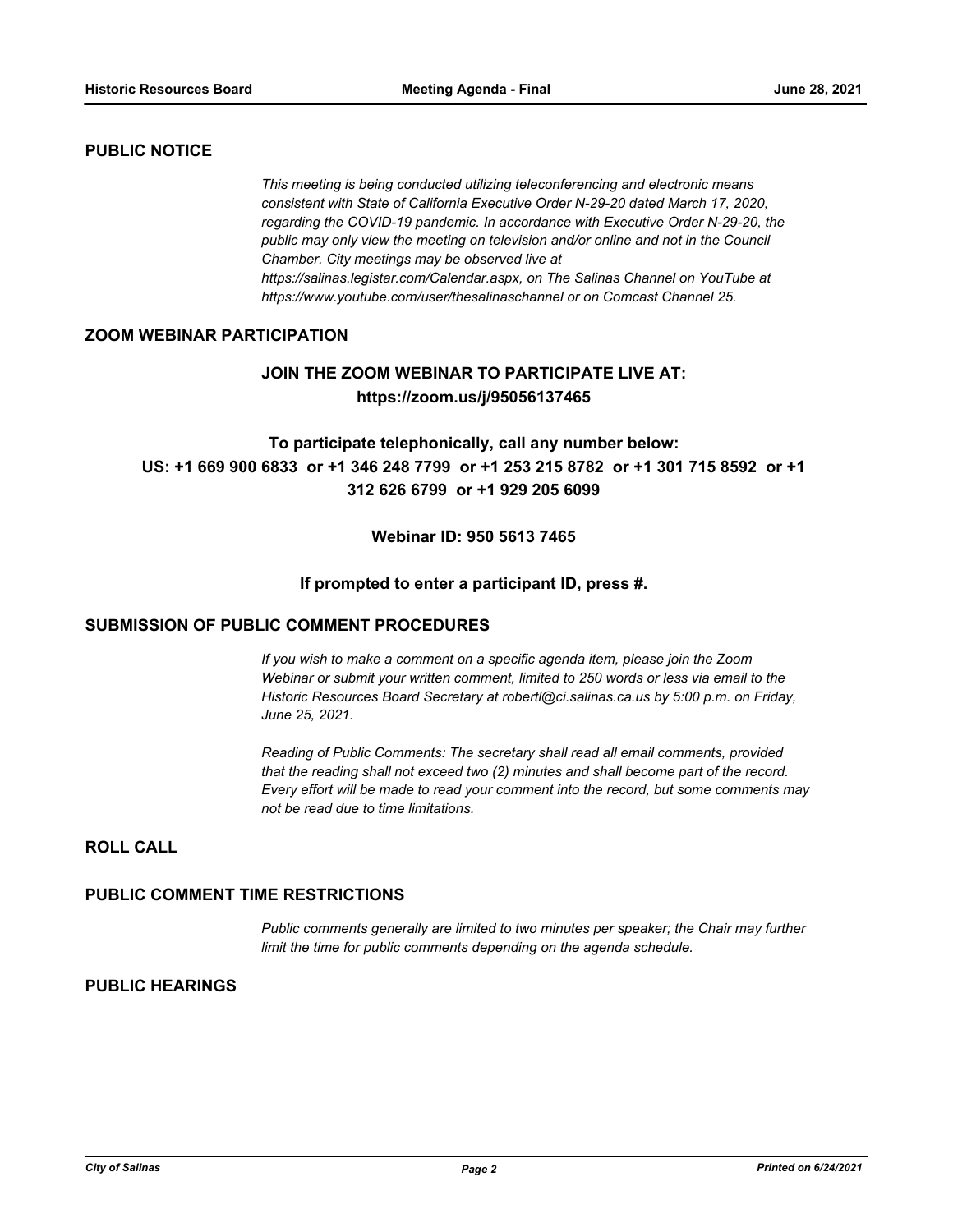#### **PUBLIC NOTICE**

*This meeting is being conducted utilizing teleconferencing and electronic means consistent with State of California Executive Order N-29-20 dated March 17, 2020, regarding the COVID-19 pandemic. In accordance with Executive Order N-29-20, the public may only view the meeting on television and/or online and not in the Council Chamber. City meetings may be observed live at https://salinas.legistar.com/Calendar.aspx, on The Salinas Channel on YouTube at https://www.youtube.com/user/thesalinaschannel or on Comcast Channel 25.*

#### **ZOOM WEBINAR PARTICIPATION**

# **JOIN THE ZOOM WEBINAR TO PARTICIPATE LIVE AT: https://zoom.us/j/95056137465**

# **To participate telephonically, call any number below: US: +1 669 900 6833 or +1 346 248 7799 or +1 253 215 8782 or +1 301 715 8592 or +1 312 626 6799 or +1 929 205 6099**

#### **Webinar ID: 950 5613 7465**

#### **If prompted to enter a participant ID, press #.**

#### **SUBMISSION OF PUBLIC COMMENT PROCEDURES**

*If you wish to make a comment on a specific agenda item, please join the Zoom Webinar or submit your written comment, limited to 250 words or less via email to the Historic Resources Board Secretary at robertl@ci.salinas.ca.us by 5:00 p.m. on Friday, June 25, 2021.* 

*Reading of Public Comments: The secretary shall read all email comments, provided that the reading shall not exceed two (2) minutes and shall become part of the record. Every effort will be made to read your comment into the record, but some comments may not be read due to time limitations.*

## **ROLL CALL**

#### **PUBLIC COMMENT TIME RESTRICTIONS**

*Public comments generally are limited to two minutes per speaker; the Chair may further limit the time for public comments depending on the agenda schedule.*

#### **PUBLIC HEARINGS**